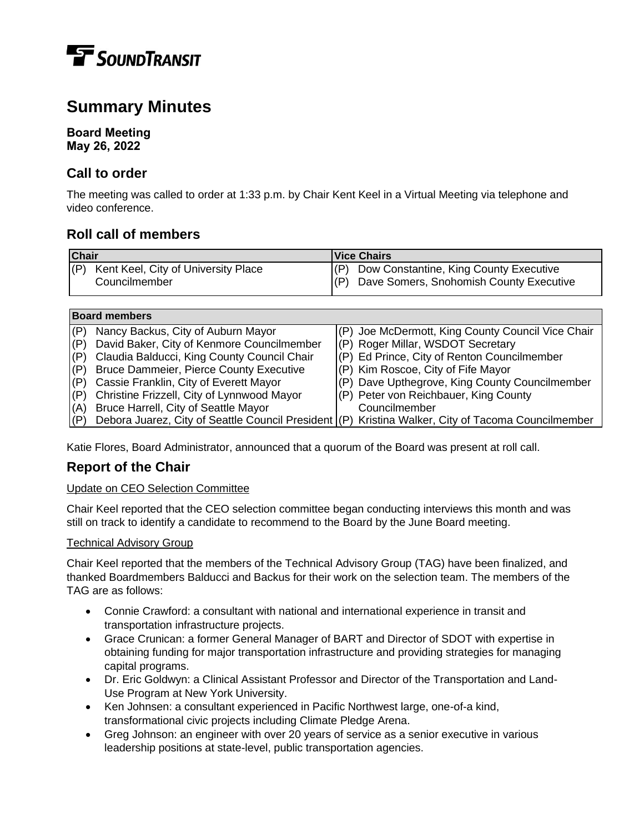

# **Summary Minutes**

## **Board Meeting May 26, 2022**

# **Call to order**

The meeting was called to order at 1:33 p.m. by Chair Kent Keel in a Virtual Meeting via telephone and video conference.

# **Roll call of members**

| <b>Chair</b> |                                                 | <b>Vice Chairs</b> |                                             |
|--------------|-------------------------------------------------|--------------------|---------------------------------------------|
|              | $ P\rangle$ Kent Keel, City of University Place |                    | (P) Dow Constantine, King County Executive  |
|              | Councilmember                                   |                    | (P) Dave Somers, Snohomish County Executive |

| <b>Board members</b> |                                                                                                    |  |                                                   |
|----------------------|----------------------------------------------------------------------------------------------------|--|---------------------------------------------------|
| (P)                  | Nancy Backus, City of Auburn Mayor                                                                 |  | (P) Joe McDermott, King County Council Vice Chair |
| (P)                  | David Baker, City of Kenmore Councilmember                                                         |  | (P) Roger Millar, WSDOT Secretary                 |
| (P)                  | Claudia Balducci, King County Council Chair                                                        |  | (P) Ed Prince, City of Renton Councilmember       |
| (P)                  | <b>Bruce Dammeier, Pierce County Executive</b>                                                     |  | (P) Kim Roscoe, City of Fife Mayor                |
| (P)                  | Cassie Franklin, City of Everett Mayor                                                             |  | (P) Dave Upthegrove, King County Councilmember    |
| (P)                  | Christine Frizzell, City of Lynnwood Mayor                                                         |  | (P) Peter von Reichbauer, King County             |
| (A)                  | Bruce Harrell, City of Seattle Mayor                                                               |  | Councilmember                                     |
| (P)                  | Debora Juarez, City of Seattle Council President (P) Kristina Walker, City of Tacoma Councilmember |  |                                                   |

Katie Flores, Board Administrator, announced that a quorum of the Board was present at roll call.

# **Report of the Chair**

## Update on CEO Selection Committee

Chair Keel reported that the CEO selection committee began conducting interviews this month and was still on track to identify a candidate to recommend to the Board by the June Board meeting.

#### Technical Advisory Group

Chair Keel reported that the members of the Technical Advisory Group (TAG) have been finalized, and thanked Boardmembers Balducci and Backus for their work on the selection team. The members of the TAG are as follows:

- Connie Crawford: a consultant with national and international experience in transit and transportation infrastructure projects.
- Grace Crunican: a former General Manager of BART and Director of SDOT with expertise in obtaining funding for major transportation infrastructure and providing strategies for managing capital programs.
- Dr. Eric Goldwyn: a Clinical Assistant Professor and Director of the Transportation and Land-Use Program at New York University.
- Ken Johnsen: a consultant experienced in Pacific Northwest large, one-of-a kind, transformational civic projects including Climate Pledge Arena.
- Greg Johnson: an engineer with over 20 years of service as a senior executive in various leadership positions at state-level, public transportation agencies.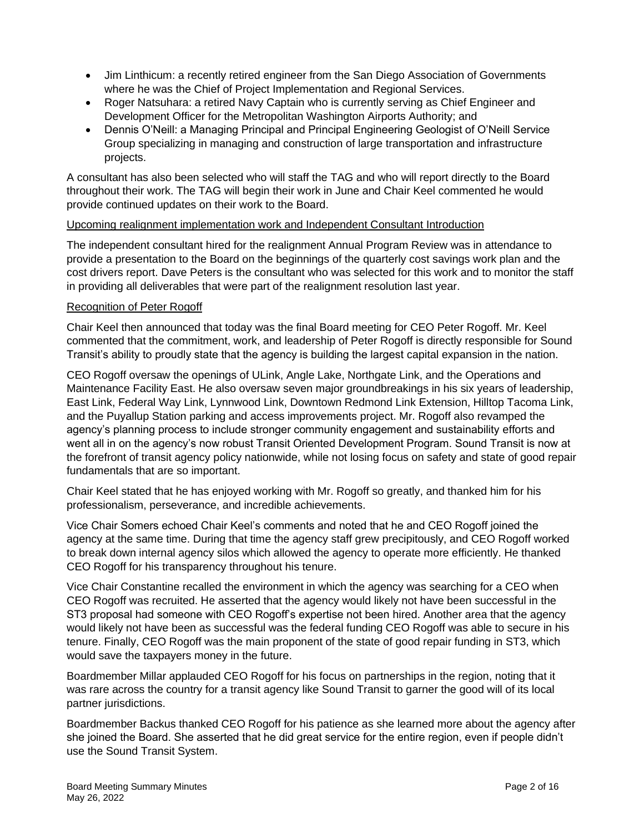- Jim Linthicum: a recently retired engineer from the San Diego Association of Governments where he was the Chief of Project Implementation and Regional Services.
- Roger Natsuhara: a retired Navy Captain who is currently serving as Chief Engineer and Development Officer for the Metropolitan Washington Airports Authority; and
- Dennis O'Neill: a Managing Principal and Principal Engineering Geologist of O'Neill Service Group specializing in managing and construction of large transportation and infrastructure projects.

A consultant has also been selected who will staff the TAG and who will report directly to the Board throughout their work. The TAG will begin their work in June and Chair Keel commented he would provide continued updates on their work to the Board.

#### Upcoming realignment implementation work and Independent Consultant Introduction

The independent consultant hired for the realignment Annual Program Review was in attendance to provide a presentation to the Board on the beginnings of the quarterly cost savings work plan and the cost drivers report. Dave Peters is the consultant who was selected for this work and to monitor the staff in providing all deliverables that were part of the realignment resolution last year.

## Recognition of Peter Rogoff

Chair Keel then announced that today was the final Board meeting for CEO Peter Rogoff. Mr. Keel commented that the commitment, work, and leadership of Peter Rogoff is directly responsible for Sound Transit's ability to proudly state that the agency is building the largest capital expansion in the nation.

CEO Rogoff oversaw the openings of ULink, Angle Lake, Northgate Link, and the Operations and Maintenance Facility East. He also oversaw seven major groundbreakings in his six years of leadership, East Link, Federal Way Link, Lynnwood Link, Downtown Redmond Link Extension, Hilltop Tacoma Link, and the Puyallup Station parking and access improvements project. Mr. Rogoff also revamped the agency's planning process to include stronger community engagement and sustainability efforts and went all in on the agency's now robust Transit Oriented Development Program. Sound Transit is now at the forefront of transit agency policy nationwide, while not losing focus on safety and state of good repair fundamentals that are so important.

Chair Keel stated that he has enjoyed working with Mr. Rogoff so greatly, and thanked him for his professionalism, perseverance, and incredible achievements.

Vice Chair Somers echoed Chair Keel's comments and noted that he and CEO Rogoff joined the agency at the same time. During that time the agency staff grew precipitously, and CEO Rogoff worked to break down internal agency silos which allowed the agency to operate more efficiently. He thanked CEO Rogoff for his transparency throughout his tenure.

Vice Chair Constantine recalled the environment in which the agency was searching for a CEO when CEO Rogoff was recruited. He asserted that the agency would likely not have been successful in the ST3 proposal had someone with CEO Rogoff's expertise not been hired. Another area that the agency would likely not have been as successful was the federal funding CEO Rogoff was able to secure in his tenure. Finally, CEO Rogoff was the main proponent of the state of good repair funding in ST3, which would save the taxpayers money in the future.

Boardmember Millar applauded CEO Rogoff for his focus on partnerships in the region, noting that it was rare across the country for a transit agency like Sound Transit to garner the good will of its local partner jurisdictions.

Boardmember Backus thanked CEO Rogoff for his patience as she learned more about the agency after she joined the Board. She asserted that he did great service for the entire region, even if people didn't use the Sound Transit System.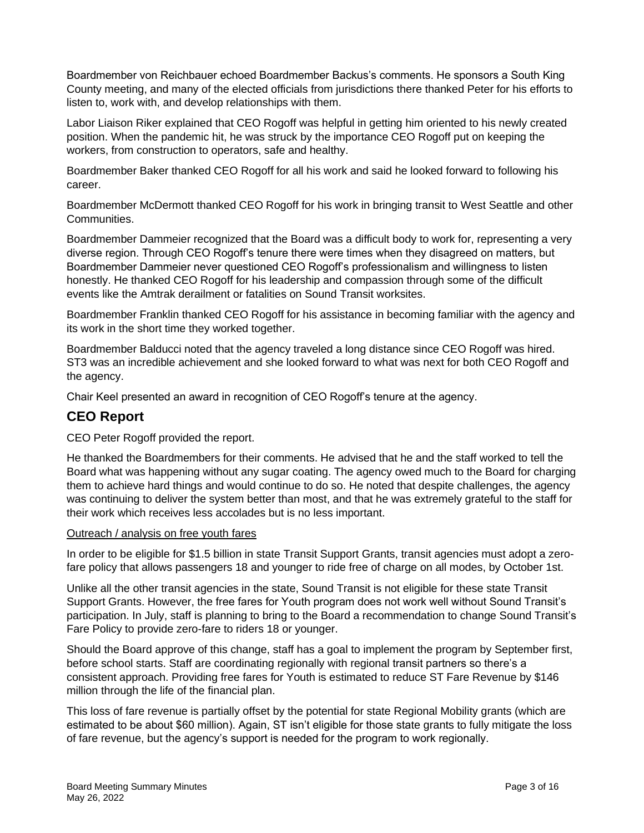Boardmember von Reichbauer echoed Boardmember Backus's comments. He sponsors a South King County meeting, and many of the elected officials from jurisdictions there thanked Peter for his efforts to listen to, work with, and develop relationships with them.

Labor Liaison Riker explained that CEO Rogoff was helpful in getting him oriented to his newly created position. When the pandemic hit, he was struck by the importance CEO Rogoff put on keeping the workers, from construction to operators, safe and healthy.

Boardmember Baker thanked CEO Rogoff for all his work and said he looked forward to following his career.

Boardmember McDermott thanked CEO Rogoff for his work in bringing transit to West Seattle and other Communities.

Boardmember Dammeier recognized that the Board was a difficult body to work for, representing a very diverse region. Through CEO Rogoff's tenure there were times when they disagreed on matters, but Boardmember Dammeier never questioned CEO Rogoff's professionalism and willingness to listen honestly. He thanked CEO Rogoff for his leadership and compassion through some of the difficult events like the Amtrak derailment or fatalities on Sound Transit worksites.

Boardmember Franklin thanked CEO Rogoff for his assistance in becoming familiar with the agency and its work in the short time they worked together.

Boardmember Balducci noted that the agency traveled a long distance since CEO Rogoff was hired. ST3 was an incredible achievement and she looked forward to what was next for both CEO Rogoff and the agency.

Chair Keel presented an award in recognition of CEO Rogoff's tenure at the agency.

# **CEO Report**

CEO Peter Rogoff provided the report.

He thanked the Boardmembers for their comments. He advised that he and the staff worked to tell the Board what was happening without any sugar coating. The agency owed much to the Board for charging them to achieve hard things and would continue to do so. He noted that despite challenges, the agency was continuing to deliver the system better than most, and that he was extremely grateful to the staff for their work which receives less accolades but is no less important.

#### Outreach / analysis on free youth fares

In order to be eligible for \$1.5 billion in state Transit Support Grants, transit agencies must adopt a zerofare policy that allows passengers 18 and younger to ride free of charge on all modes, by October 1st.

Unlike all the other transit agencies in the state, Sound Transit is not eligible for these state Transit Support Grants. However, the free fares for Youth program does not work well without Sound Transit's participation. In July, staff is planning to bring to the Board a recommendation to change Sound Transit's Fare Policy to provide zero-fare to riders 18 or younger.

Should the Board approve of this change, staff has a goal to implement the program by September first, before school starts. Staff are coordinating regionally with regional transit partners so there's a consistent approach. Providing free fares for Youth is estimated to reduce ST Fare Revenue by \$146 million through the life of the financial plan.

This loss of fare revenue is partially offset by the potential for state Regional Mobility grants (which are estimated to be about \$60 million). Again, ST isn't eligible for those state grants to fully mitigate the loss of fare revenue, but the agency's support is needed for the program to work regionally.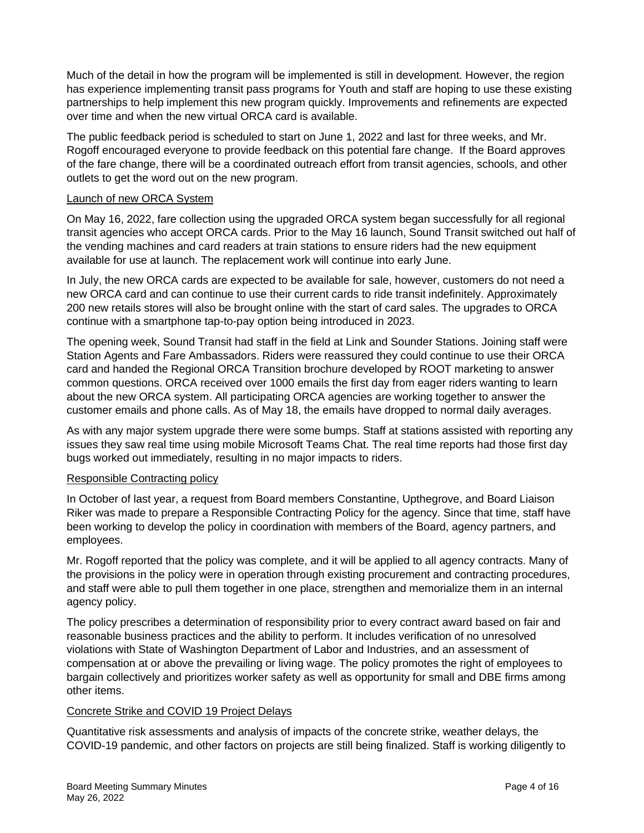Much of the detail in how the program will be implemented is still in development. However, the region has experience implementing transit pass programs for Youth and staff are hoping to use these existing partnerships to help implement this new program quickly. Improvements and refinements are expected over time and when the new virtual ORCA card is available.

The public feedback period is scheduled to start on June 1, 2022 and last for three weeks, and Mr. Rogoff encouraged everyone to provide feedback on this potential fare change. If the Board approves of the fare change, there will be a coordinated outreach effort from transit agencies, schools, and other outlets to get the word out on the new program.

#### Launch of new ORCA System

On May 16, 2022, fare collection using the upgraded ORCA system began successfully for all regional transit agencies who accept ORCA cards. Prior to the May 16 launch, Sound Transit switched out half of the vending machines and card readers at train stations to ensure riders had the new equipment available for use at launch. The replacement work will continue into early June.

In July, the new ORCA cards are expected to be available for sale, however, customers do not need a new ORCA card and can continue to use their current cards to ride transit indefinitely. Approximately 200 new retails stores will also be brought online with the start of card sales. The upgrades to ORCA continue with a smartphone tap-to-pay option being introduced in 2023.

The opening week, Sound Transit had staff in the field at Link and Sounder Stations. Joining staff were Station Agents and Fare Ambassadors. Riders were reassured they could continue to use their ORCA card and handed the Regional ORCA Transition brochure developed by ROOT marketing to answer common questions. ORCA received over 1000 emails the first day from eager riders wanting to learn about the new ORCA system. All participating ORCA agencies are working together to answer the customer emails and phone calls. As of May 18, the emails have dropped to normal daily averages.

As with any major system upgrade there were some bumps. Staff at stations assisted with reporting any issues they saw real time using mobile Microsoft Teams Chat. The real time reports had those first day bugs worked out immediately, resulting in no major impacts to riders.

#### Responsible Contracting policy

In October of last year, a request from Board members Constantine, Upthegrove, and Board Liaison Riker was made to prepare a Responsible Contracting Policy for the agency. Since that time, staff have been working to develop the policy in coordination with members of the Board, agency partners, and employees.

Mr. Rogoff reported that the policy was complete, and it will be applied to all agency contracts. Many of the provisions in the policy were in operation through existing procurement and contracting procedures, and staff were able to pull them together in one place, strengthen and memorialize them in an internal agency policy.

The policy prescribes a determination of responsibility prior to every contract award based on fair and reasonable business practices and the ability to perform. It includes verification of no unresolved violations with State of Washington Department of Labor and Industries, and an assessment of compensation at or above the prevailing or living wage. The policy promotes the right of employees to bargain collectively and prioritizes worker safety as well as opportunity for small and DBE firms among other items.

## Concrete Strike and COVID 19 Project Delays

Quantitative risk assessments and analysis of impacts of the concrete strike, weather delays, the COVID-19 pandemic, and other factors on projects are still being finalized. Staff is working diligently to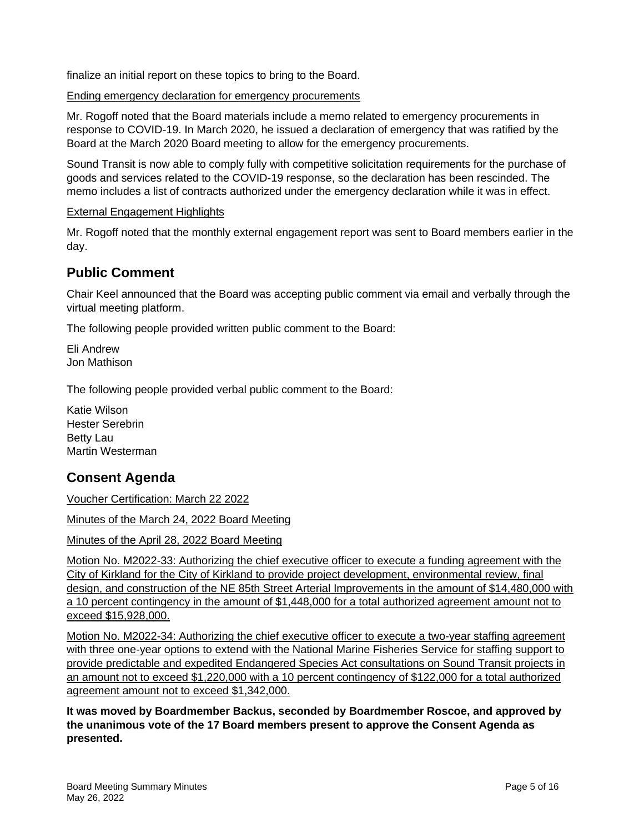finalize an initial report on these topics to bring to the Board.

## Ending emergency declaration for emergency procurements

Mr. Rogoff noted that the Board materials include a memo related to emergency procurements in response to COVID-19. In March 2020, he issued a declaration of emergency that was ratified by the Board at the March 2020 Board meeting to allow for the emergency procurements.

Sound Transit is now able to comply fully with competitive solicitation requirements for the purchase of goods and services related to the COVID-19 response, so the declaration has been rescinded. The memo includes a list of contracts authorized under the emergency declaration while it was in effect.

## External Engagement Highlights

Mr. Rogoff noted that the monthly external engagement report was sent to Board members earlier in the day.

# **Public Comment**

Chair Keel announced that the Board was accepting public comment via email and verbally through the virtual meeting platform.

The following people provided written public comment to the Board:

Eli Andrew Jon Mathison

The following people provided verbal public comment to the Board:

Katie Wilson Hester Serebrin Betty Lau Martin Westerman

# **Consent Agenda**

Voucher Certification: March 22 2022

Minutes of the March 24, 2022 Board Meeting

Minutes of the April 28, 2022 Board Meeting

Motion No. M2022-33: Authorizing the chief executive officer to execute a funding agreement with the City of Kirkland for the City of Kirkland to provide project development, environmental review, final design, and construction of the NE 85th Street Arterial Improvements in the amount of \$14,480,000 with a 10 percent contingency in the amount of \$1,448,000 for a total authorized agreement amount not to exceed \$15,928,000.

Motion No. M2022-34: Authorizing the chief executive officer to execute a two-year staffing agreement with three one-year options to extend with the National Marine Fisheries Service for staffing support to provide predictable and expedited Endangered Species Act consultations on Sound Transit projects in an amount not to exceed \$1,220,000 with a 10 percent contingency of \$122,000 for a total authorized agreement amount not to exceed \$1,342,000.

**It was moved by Boardmember Backus, seconded by Boardmember Roscoe, and approved by the unanimous vote of the 17 Board members present to approve the Consent Agenda as presented.**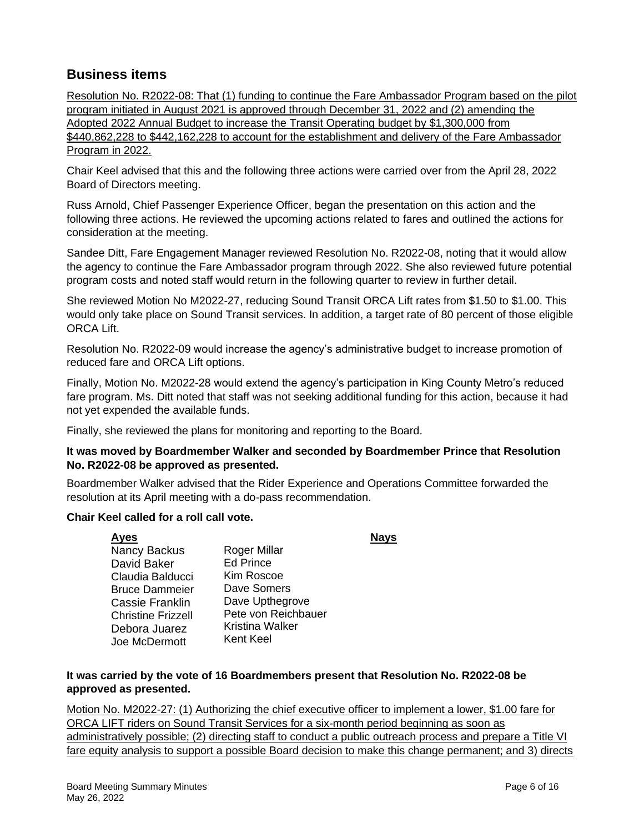# **Business items**

Resolution No. R2022-08: That (1) funding to continue the Fare Ambassador Program based on the pilot program initiated in August 2021 is approved through December 31, 2022 and (2) amending the Adopted 2022 Annual Budget to increase the Transit Operating budget by \$1,300,000 from \$440,862,228 to \$442,162,228 to account for the establishment and delivery of the Fare Ambassador Program in 2022.

Chair Keel advised that this and the following three actions were carried over from the April 28, 2022 Board of Directors meeting.

Russ Arnold, Chief Passenger Experience Officer, began the presentation on this action and the following three actions. He reviewed the upcoming actions related to fares and outlined the actions for consideration at the meeting.

Sandee Ditt, Fare Engagement Manager reviewed Resolution No. R2022-08, noting that it would allow the agency to continue the Fare Ambassador program through 2022. She also reviewed future potential program costs and noted staff would return in the following quarter to review in further detail.

She reviewed Motion No M2022-27, reducing Sound Transit ORCA Lift rates from \$1.50 to \$1.00. This would only take place on Sound Transit services. In addition, a target rate of 80 percent of those eligible ORCA Lift.

Resolution No. R2022-09 would increase the agency's administrative budget to increase promotion of reduced fare and ORCA Lift options.

Finally, Motion No. M2022-28 would extend the agency's participation in King County Metro's reduced fare program. Ms. Ditt noted that staff was not seeking additional funding for this action, because it had not yet expended the available funds.

Finally, she reviewed the plans for monitoring and reporting to the Board.

#### **It was moved by Boardmember Walker and seconded by Boardmember Prince that Resolution No. R2022-08 be approved as presented.**

Boardmember Walker advised that the Rider Experience and Operations Committee forwarded the resolution at its April meeting with a do-pass recommendation.

#### **Chair Keel called for a roll call vote.**

**Ayes Nays** Nancy Backus David Baker Claudia Balducci Bruce Dammeier Cassie Franklin Christine Frizzell Debora Juarez Joe McDermott Roger Millar Ed Prince Kim Roscoe Dave Somers Dave Upthegrove Pete von Reichbauer Kristina Walker Kent Keel

## **It was carried by the vote of 16 Boardmembers present that Resolution No. R2022-08 be approved as presented.**

Motion No. M2022-27: (1) Authorizing the chief executive officer to implement a lower, \$1.00 fare for ORCA LIFT riders on Sound Transit Services for a six-month period beginning as soon as administratively possible; (2) directing staff to conduct a public outreach process and prepare a Title VI fare equity analysis to support a possible Board decision to make this change permanent; and 3) directs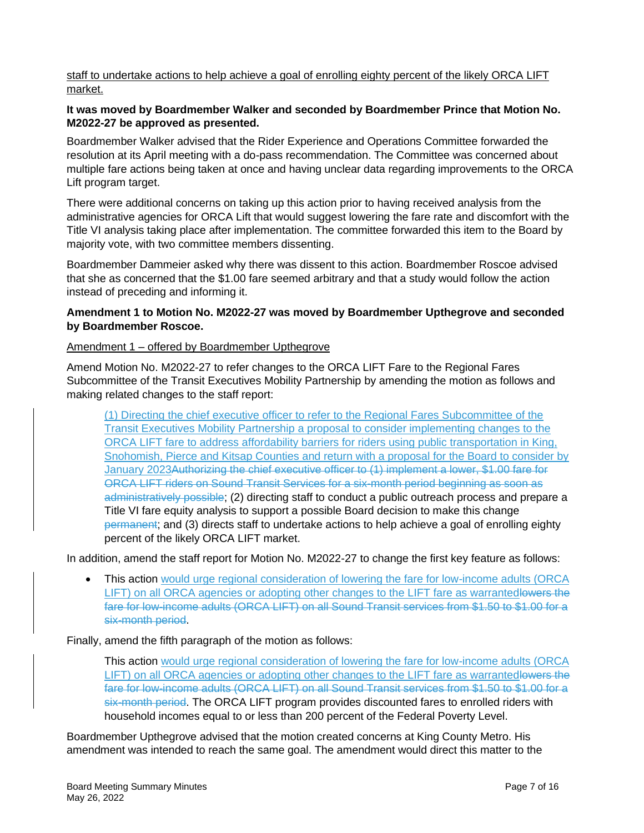staff to undertake actions to help achieve a goal of enrolling eighty percent of the likely ORCA LIFT market.

## **It was moved by Boardmember Walker and seconded by Boardmember Prince that Motion No. M2022-27 be approved as presented.**

Boardmember Walker advised that the Rider Experience and Operations Committee forwarded the resolution at its April meeting with a do-pass recommendation. The Committee was concerned about multiple fare actions being taken at once and having unclear data regarding improvements to the ORCA Lift program target.

There were additional concerns on taking up this action prior to having received analysis from the administrative agencies for ORCA Lift that would suggest lowering the fare rate and discomfort with the Title VI analysis taking place after implementation. The committee forwarded this item to the Board by majority vote, with two committee members dissenting.

Boardmember Dammeier asked why there was dissent to this action. Boardmember Roscoe advised that she as concerned that the \$1.00 fare seemed arbitrary and that a study would follow the action instead of preceding and informing it.

## **Amendment 1 to Motion No. M2022-27 was moved by Boardmember Upthegrove and seconded by Boardmember Roscoe.**

## Amendment 1 – offered by Boardmember Upthegrove

Amend Motion No. M2022-27 to refer changes to the ORCA LIFT Fare to the Regional Fares Subcommittee of the Transit Executives Mobility Partnership by amending the motion as follows and making related changes to the staff report:

(1) Directing the chief executive officer to refer to the Regional Fares Subcommittee of the Transit Executives Mobility Partnership a proposal to consider implementing changes to the ORCA LIFT fare to address affordability barriers for riders using public transportation in King, Snohomish, Pierce and Kitsap Counties and return with a proposal for the Board to consider by January 2023Authorizing the chief executive officer to (1) implement a lower, \$1.00 fare for ORCA LIFT riders on Sound Transit Services for a six-month period beginning as soon as administratively possible; (2) directing staff to conduct a public outreach process and prepare a Title VI fare equity analysis to support a possible Board decision to make this change permanent; and (3) directs staff to undertake actions to help achieve a goal of enrolling eighty percent of the likely ORCA LIFT market.

In addition, amend the staff report for Motion No. M2022-27 to change the first key feature as follows:

• This action would urge regional consideration of lowering the fare for low-income adults (ORCA LIFT) on all ORCA agencies or adopting other changes to the LIFT fare as warrantedlowers the fare for low-income adults (ORCA LIFT) on all Sound Transit services from \$1.50 to \$1.00 for a six-month period.

Finally, amend the fifth paragraph of the motion as follows:

This action would urge regional consideration of lowering the fare for low-income adults (ORCA LIFT) on all ORCA agencies or adopting other changes to the LIFT fare as warrantedlowers the fare for low-income adults (ORCA LIFT) on all Sound Transit services from \$1.50 to \$1.00 for a six-month period. The ORCA LIFT program provides discounted fares to enrolled riders with household incomes equal to or less than 200 percent of the Federal Poverty Level.

Boardmember Upthegrove advised that the motion created concerns at King County Metro. His amendment was intended to reach the same goal. The amendment would direct this matter to the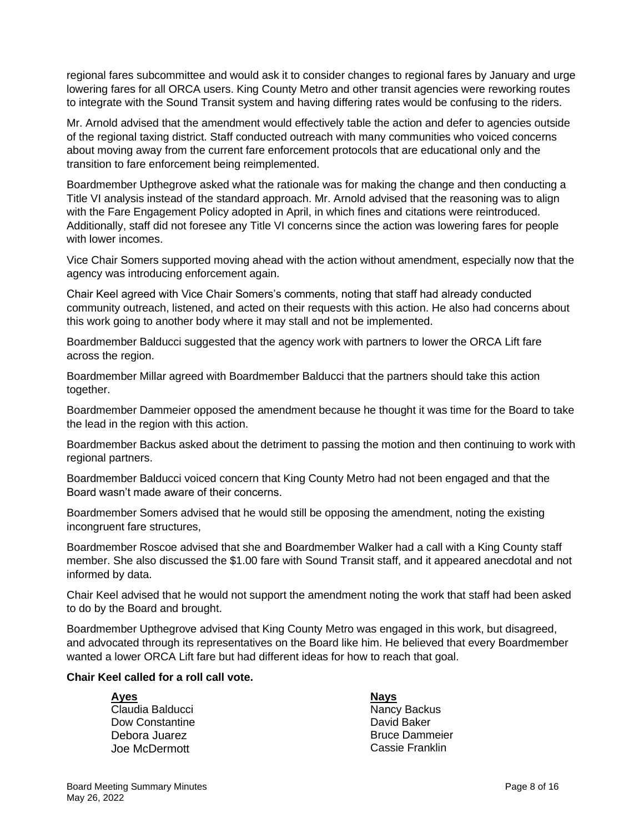regional fares subcommittee and would ask it to consider changes to regional fares by January and urge lowering fares for all ORCA users. King County Metro and other transit agencies were reworking routes to integrate with the Sound Transit system and having differing rates would be confusing to the riders.

Mr. Arnold advised that the amendment would effectively table the action and defer to agencies outside of the regional taxing district. Staff conducted outreach with many communities who voiced concerns about moving away from the current fare enforcement protocols that are educational only and the transition to fare enforcement being reimplemented.

Boardmember Upthegrove asked what the rationale was for making the change and then conducting a Title VI analysis instead of the standard approach. Mr. Arnold advised that the reasoning was to align with the Fare Engagement Policy adopted in April, in which fines and citations were reintroduced. Additionally, staff did not foresee any Title VI concerns since the action was lowering fares for people with lower incomes.

Vice Chair Somers supported moving ahead with the action without amendment, especially now that the agency was introducing enforcement again.

Chair Keel agreed with Vice Chair Somers's comments, noting that staff had already conducted community outreach, listened, and acted on their requests with this action. He also had concerns about this work going to another body where it may stall and not be implemented.

Boardmember Balducci suggested that the agency work with partners to lower the ORCA Lift fare across the region.

Boardmember Millar agreed with Boardmember Balducci that the partners should take this action together.

Boardmember Dammeier opposed the amendment because he thought it was time for the Board to take the lead in the region with this action.

Boardmember Backus asked about the detriment to passing the motion and then continuing to work with regional partners.

Boardmember Balducci voiced concern that King County Metro had not been engaged and that the Board wasn't made aware of their concerns.

Boardmember Somers advised that he would still be opposing the amendment, noting the existing incongruent fare structures,

Boardmember Roscoe advised that she and Boardmember Walker had a call with a King County staff member. She also discussed the \$1.00 fare with Sound Transit staff, and it appeared anecdotal and not informed by data.

Chair Keel advised that he would not support the amendment noting the work that staff had been asked to do by the Board and brought.

Boardmember Upthegrove advised that King County Metro was engaged in this work, but disagreed, and advocated through its representatives on the Board like him. He believed that every Boardmember wanted a lower ORCA Lift fare but had different ideas for how to reach that goal.

## **Chair Keel called for a roll call vote.**

**Ayes Nays** Claudia Balducci Dow Constantine Debora Juarez Joe McDermott

Nancy Backus David Baker Bruce Dammeier Cassie Franklin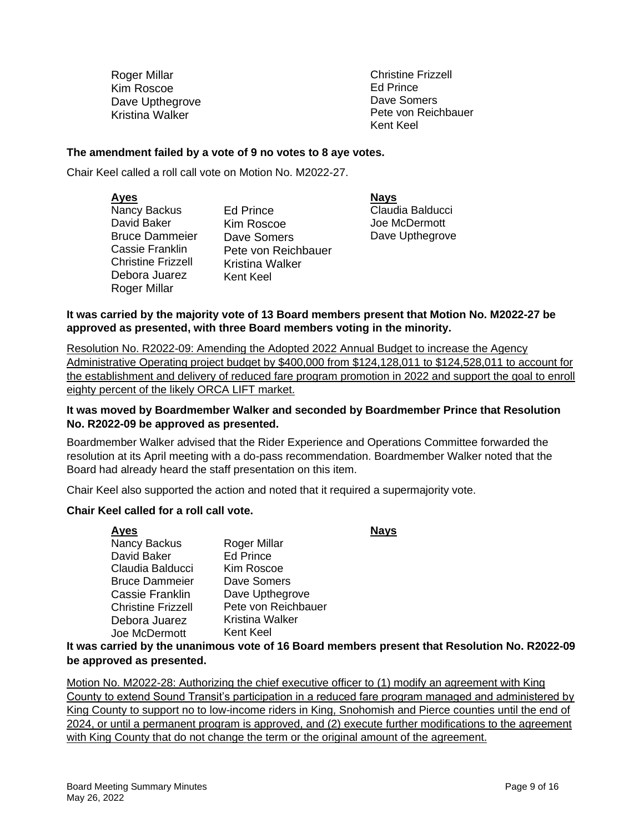Roger Millar Kim Roscoe Dave Upthegrove Kristina Walker

Christine Frizzell Ed Prince Dave Somers Pete von Reichbauer Kent Keel

#### **The amendment failed by a vote of 9 no votes to 8 aye votes.**

Chair Keel called a roll call vote on Motion No. M2022-27.

| <b>Ayes</b>               |                        | <b>Nays</b> |
|---------------------------|------------------------|-------------|
| Nancy Backus              | Ed Prince              | Claud       |
| David Baker               | Kim Roscoe             | Joe N       |
| <b>Bruce Dammeier</b>     | Dave Somers            | Dave        |
| Cassie Franklin           | Pete von Reichbauer    |             |
| <b>Christine Frizzell</b> | <b>Kristina Walker</b> |             |
| Debora Juarez             | Kent Keel              |             |
| Roger Millar              |                        |             |

Claudia Balducci Joe McDermott Dave Upthegrove

#### **It was carried by the majority vote of 13 Board members present that Motion No. M2022-27 be approved as presented, with three Board members voting in the minority.**

Resolution No. R2022-09: Amending the Adopted 2022 Annual Budget to increase the Agency Administrative Operating project budget by \$400,000 from \$124,128,011 to \$124,528,011 to account for the establishment and delivery of reduced fare program promotion in 2022 and support the goal to enroll eighty percent of the likely ORCA LIFT market.

#### **It was moved by Boardmember Walker and seconded by Boardmember Prince that Resolution No. R2022-09 be approved as presented.**

Boardmember Walker advised that the Rider Experience and Operations Committee forwarded the resolution at its April meeting with a do-pass recommendation. Boardmember Walker noted that the Board had already heard the staff presentation on this item.

Chair Keel also supported the action and noted that it required a supermajority vote.

#### **Chair Keel called for a roll call vote.**

| Ayes                      |                     | <b>Nays</b> |
|---------------------------|---------------------|-------------|
| Nancy Backus              | Roger Millar        |             |
| David Baker               | <b>Ed Prince</b>    |             |
| Claudia Balducci          | Kim Roscoe          |             |
| Bruce Dammeier            | Dave Somers         |             |
| Cassie Franklin           | Dave Upthegrove     |             |
| <b>Christine Frizzell</b> | Pete von Reichbauer |             |
| Debora Juarez             | Kristina Walker     |             |
| Joe McDermott             | <b>Kent Keel</b>    |             |
|                           |                     |             |

**It was carried by the unanimous vote of 16 Board members present that Resolution No. R2022-09 be approved as presented.**

Motion No. M2022-28: Authorizing the chief executive officer to (1) modify an agreement with King County to extend Sound Transit's participation in a reduced fare program managed and administered by King County to support no to low-income riders in King, Snohomish and Pierce counties until the end of 2024, or until a permanent program is approved, and (2) execute further modifications to the agreement with King County that do not change the term or the original amount of the agreement.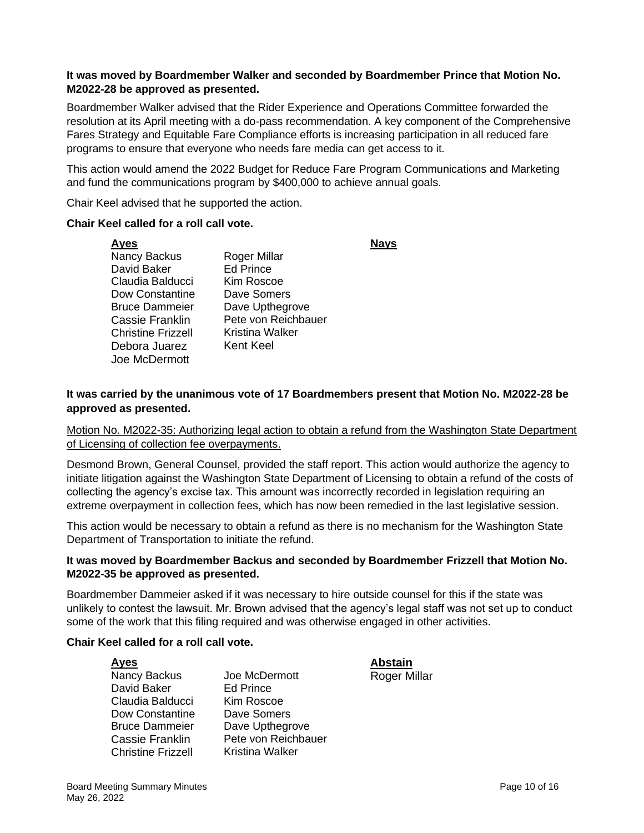## **It was moved by Boardmember Walker and seconded by Boardmember Prince that Motion No. M2022-28 be approved as presented.**

Boardmember Walker advised that the Rider Experience and Operations Committee forwarded the resolution at its April meeting with a do-pass recommendation. A key component of the Comprehensive Fares Strategy and Equitable Fare Compliance efforts is increasing participation in all reduced fare programs to ensure that everyone who needs fare media can get access to it.

This action would amend the 2022 Budget for Reduce Fare Program Communications and Marketing and fund the communications program by \$400,000 to achieve annual goals.

Chair Keel advised that he supported the action.

#### **Chair Keel called for a roll call vote.**

**Ayes Nays** Nancy Backus David Baker Claudia Balducci Dow Constantine Bruce Dammeier Cassie Franklin Christine Frizzell Debora Juarez Joe McDermott Roger Millar Ed Prince Kim Roscoe Dave Somers Dave Upthegrove Pete von Reichbauer Kristina Walker Kent Keel

**It was carried by the unanimous vote of 17 Boardmembers present that Motion No. M2022-28 be approved as presented.**

Motion No. M2022-35: Authorizing legal action to obtain a refund from the Washington State Department of Licensing of collection fee overpayments.

Desmond Brown, General Counsel, provided the staff report. This action would authorize the agency to initiate litigation against the Washington State Department of Licensing to obtain a refund of the costs of collecting the agency's excise tax. This amount was incorrectly recorded in legislation requiring an extreme overpayment in collection fees, which has now been remedied in the last legislative session.

This action would be necessary to obtain a refund as there is no mechanism for the Washington State Department of Transportation to initiate the refund.

#### **It was moved by Boardmember Backus and seconded by Boardmember Frizzell that Motion No. M2022-35 be approved as presented.**

Boardmember Dammeier asked if it was necessary to hire outside counsel for this if the state was unlikely to contest the lawsuit. Mr. Brown advised that the agency's legal staff was not set up to conduct some of the work that this filing required and was otherwise engaged in other activities.

## **Chair Keel called for a roll call vote.**

- Nancy Backus David Baker Claudia Balducci Dow Constantine Bruce Dammeier Cassie Franklin Christine Frizzell
- Joe McDermott Ed Prince Kim Roscoe Dave Somers Dave Upthegrove Pete von Reichbauer Kristina Walker

**Ayes Abstain** Roger Millar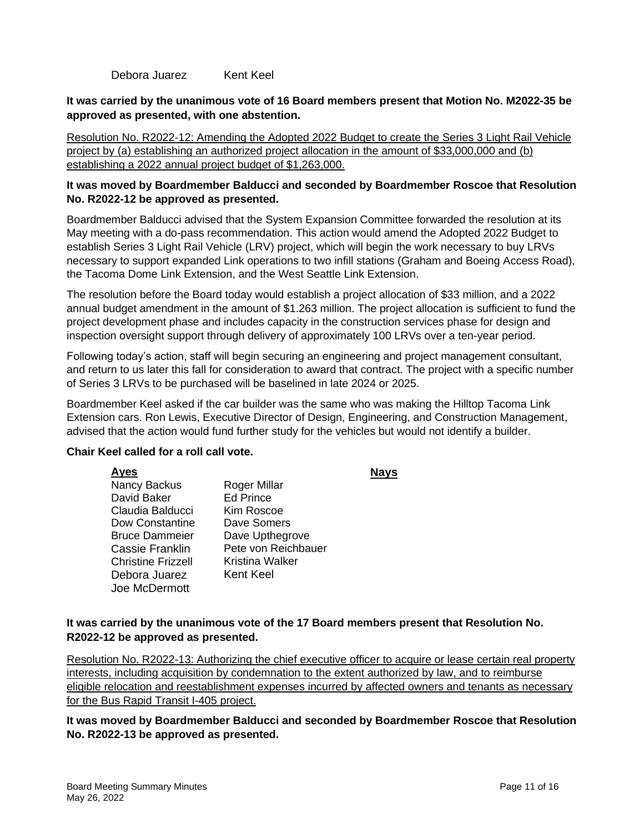Debora Juarez Kent Keel

## **It was carried by the unanimous vote of 16 Board members present that Motion No. M2022-35 be approved as presented, with one abstention.**

Resolution No. R2022-12: Amending the Adopted 2022 Budget to create the Series 3 Light Rail Vehicle project by (a) establishing an authorized project allocation in the amount of \$33,000,000 and (b) establishing a 2022 annual project budget of \$1,263,000.

## **It was moved by Boardmember Balducci and seconded by Boardmember Roscoe that Resolution No. R2022-12 be approved as presented.**

Boardmember Balducci advised that the System Expansion Committee forwarded the resolution at its May meeting with a do-pass recommendation. This action would amend the Adopted 2022 Budget to establish Series 3 Light Rail Vehicle (LRV) project, which will begin the work necessary to buy LRVs necessary to support expanded Link operations to two infill stations (Graham and Boeing Access Road), the Tacoma Dome Link Extension, and the West Seattle Link Extension.

The resolution before the Board today would establish a project allocation of \$33 million, and a 2022 annual budget amendment in the amount of \$1.263 million. The project allocation is sufficient to fund the project development phase and includes capacity in the construction services phase for design and inspection oversight support through delivery of approximately 100 LRVs over a ten-year period.

Following today's action, staff will begin securing an engineering and project management consultant, and return to us later this fall for consideration to award that contract. The project with a specific number of Series 3 LRVs to be purchased will be baselined in late 2024 or 2025.

Boardmember Keel asked if the car builder was the same who was making the Hilltop Tacoma Link Extension cars. Ron Lewis, Executive Director of Design, Engineering, and Construction Management, advised that the action would fund further study for the vehicles but would not identify a builder.

#### **Chair Keel called for a roll call vote.**

**Ayes Nays** Nancy Backus David Baker Claudia Balducci Dow Constantine Bruce Dammeier Cassie Franklin Christine Frizzell Debora Juarez Joe McDermott Roger Millar Ed Prince Kim Roscoe Dave Somers Dave Upthegrove Pete von Reichbauer Kristina Walker Kent Keel

## **It was carried by the unanimous vote of the 17 Board members present that Resolution No. R2022-12 be approved as presented.**

Resolution No. R2022-13: Authorizing the chief executive officer to acquire or lease certain real property interests, including acquisition by condemnation to the extent authorized by law, and to reimburse eligible relocation and reestablishment expenses incurred by affected owners and tenants as necessary for the Bus Rapid Transit I-405 project.

**It was moved by Boardmember Balducci and seconded by Boardmember Roscoe that Resolution No. R2022-13 be approved as presented.**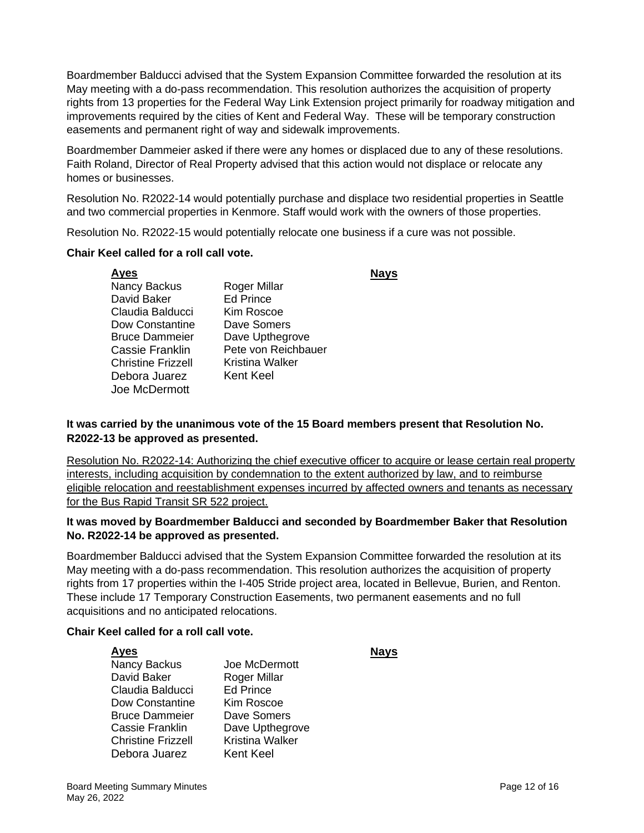Boardmember Balducci advised that the System Expansion Committee forwarded the resolution at its May meeting with a do-pass recommendation. This resolution authorizes the acquisition of property rights from 13 properties for the Federal Way Link Extension project primarily for roadway mitigation and improvements required by the cities of Kent and Federal Way. These will be temporary construction easements and permanent right of way and sidewalk improvements.

Boardmember Dammeier asked if there were any homes or displaced due to any of these resolutions. Faith Roland, Director of Real Property advised that this action would not displace or relocate any homes or businesses.

Resolution No. R2022-14 would potentially purchase and displace two residential properties in Seattle and two commercial properties in Kenmore. Staff would work with the owners of those properties.

Resolution No. R2022-15 would potentially relocate one business if a cure was not possible.

#### **Chair Keel called for a roll call vote.**

| <u>Ayes</u>               |                     |  |
|---------------------------|---------------------|--|
| Nancy Backus              | Roger Millar        |  |
| David Baker               | <b>Ed Prince</b>    |  |
| Claudia Balducci          | Kim Roscoe          |  |
| Dow Constantine           | Dave Somers         |  |
| <b>Bruce Dammeier</b>     | Dave Upthegrove     |  |
| Cassie Franklin           | Pete von Reichbauer |  |
| <b>Christine Frizzell</b> | Kristina Walker     |  |
| Debora Juarez             | Kent Keel           |  |
| Joe McDermott             |                     |  |

## **It was carried by the unanimous vote of the 15 Board members present that Resolution No. R2022-13 be approved as presented.**

Resolution No. R2022-14: Authorizing the chief executive officer to acquire or lease certain real property interests, including acquisition by condemnation to the extent authorized by law, and to reimburse eligible relocation and reestablishment expenses incurred by affected owners and tenants as necessary for the Bus Rapid Transit SR 522 project.

## **It was moved by Boardmember Balducci and seconded by Boardmember Baker that Resolution No. R2022-14 be approved as presented.**

Boardmember Balducci advised that the System Expansion Committee forwarded the resolution at its May meeting with a do-pass recommendation. This resolution authorizes the acquisition of property rights from 17 properties within the I-405 Stride project area, located in Bellevue, Burien, and Renton. These include 17 Temporary Construction Easements, two permanent easements and no full acquisitions and no anticipated relocations.

#### **Chair Keel called for a roll call vote.**

| Ayes                  |                        | Navs |
|-----------------------|------------------------|------|
| Nancy Backus          | Joe McDermott          |      |
| David Baker           | Roger Millar           |      |
| Claudia Balducci      | <b>Ed Prince</b>       |      |
| Dow Constantine       | Kim Roscoe             |      |
| <b>Bruce Dammeier</b> | Dave Somers            |      |
| Cassie Franklin       | Dave Upthegrove        |      |
| Christine Frizzell    | <b>Kristina Walker</b> |      |
| Debora Juarez         | <b>Kent Keel</b>       |      |
|                       |                        |      |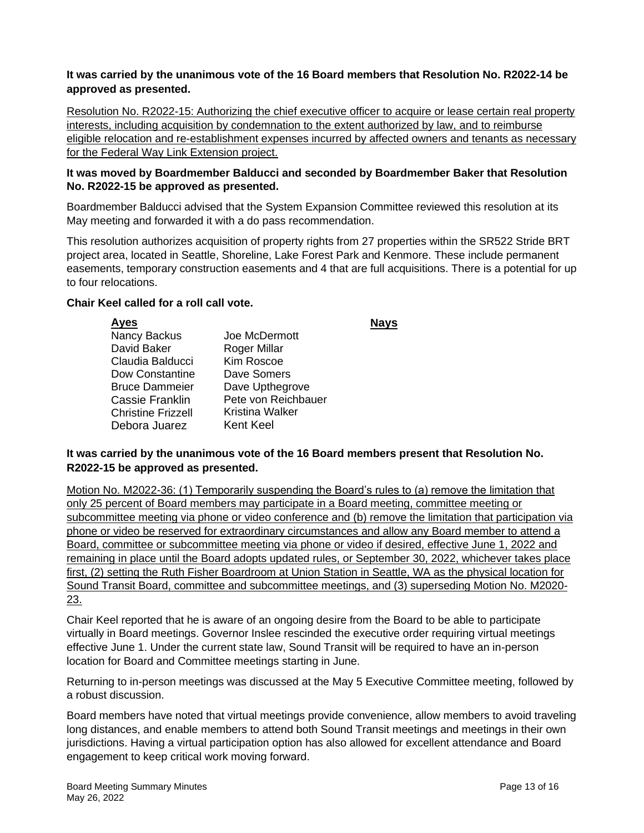## **It was carried by the unanimous vote of the 16 Board members that Resolution No. R2022-14 be approved as presented.**

Resolution No. R2022-15: Authorizing the chief executive officer to acquire or lease certain real property interests, including acquisition by condemnation to the extent authorized by law, and to reimburse eligible relocation and re-establishment expenses incurred by affected owners and tenants as necessary for the Federal Way Link Extension project.

#### **It was moved by Boardmember Balducci and seconded by Boardmember Baker that Resolution No. R2022-15 be approved as presented.**

Boardmember Balducci advised that the System Expansion Committee reviewed this resolution at its May meeting and forwarded it with a do pass recommendation.

This resolution authorizes acquisition of property rights from 27 properties within the SR522 Stride BRT project area, located in Seattle, Shoreline, Lake Forest Park and Kenmore. These include permanent easements, temporary construction easements and 4 that are full acquisitions. There is a potential for up to four relocations.

#### **Chair Keel called for a roll call vote.**

| <b>Ayes</b>               |                     |  |
|---------------------------|---------------------|--|
| Nancy Backus              | Joe McDermott       |  |
| David Baker               | Roger Millar        |  |
| Claudia Balducci          | Kim Roscoe          |  |
| Dow Constantine           | Dave Somers         |  |
| <b>Bruce Dammeier</b>     | Dave Upthegrove     |  |
| Cassie Franklin           | Pete von Reichbauer |  |
| <b>Christine Frizzell</b> | Kristina Walker     |  |
| Debora Juarez             | <b>Kent Keel</b>    |  |
|                           |                     |  |

#### **It was carried by the unanimous vote of the 16 Board members present that Resolution No. R2022-15 be approved as presented.**

Motion No. M2022-36: (1) Temporarily suspending the Board's rules to (a) remove the limitation that only 25 percent of Board members may participate in a Board meeting, committee meeting or subcommittee meeting via phone or video conference and (b) remove the limitation that participation via phone or video be reserved for extraordinary circumstances and allow any Board member to attend a Board, committee or subcommittee meeting via phone or video if desired, effective June 1, 2022 and remaining in place until the Board adopts updated rules, or September 30, 2022, whichever takes place first, (2) setting the Ruth Fisher Boardroom at Union Station in Seattle, WA as the physical location for Sound Transit Board, committee and subcommittee meetings, and (3) superseding Motion No. M2020- 23.

Chair Keel reported that he is aware of an ongoing desire from the Board to be able to participate virtually in Board meetings. Governor Inslee rescinded the executive order requiring virtual meetings effective June 1. Under the current state law, Sound Transit will be required to have an in-person location for Board and Committee meetings starting in June.

Returning to in-person meetings was discussed at the May 5 Executive Committee meeting, followed by a robust discussion.

Board members have noted that virtual meetings provide convenience, allow members to avoid traveling long distances, and enable members to attend both Sound Transit meetings and meetings in their own jurisdictions. Having a virtual participation option has also allowed for excellent attendance and Board engagement to keep critical work moving forward.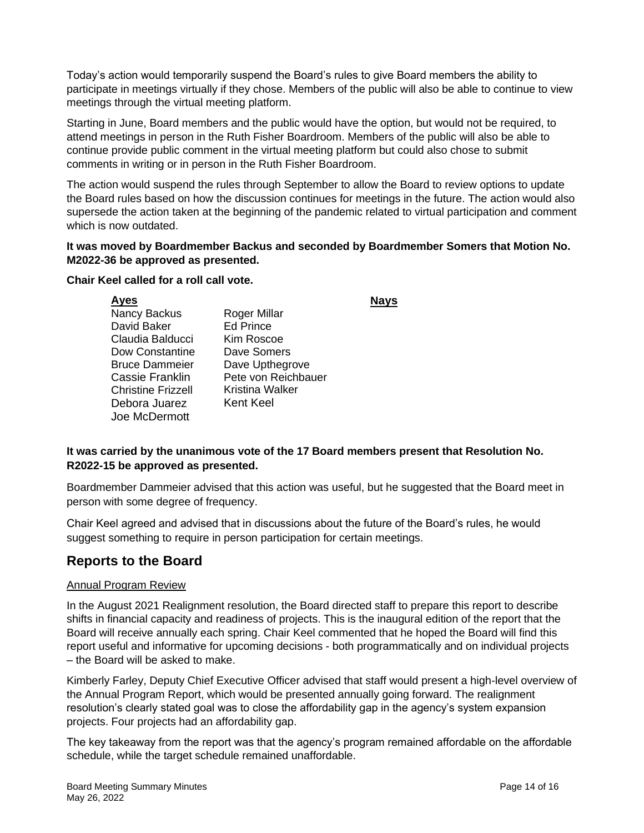Today's action would temporarily suspend the Board's rules to give Board members the ability to participate in meetings virtually if they chose. Members of the public will also be able to continue to view meetings through the virtual meeting platform.

Starting in June, Board members and the public would have the option, but would not be required, to attend meetings in person in the Ruth Fisher Boardroom. Members of the public will also be able to continue provide public comment in the virtual meeting platform but could also chose to submit comments in writing or in person in the Ruth Fisher Boardroom.

The action would suspend the rules through September to allow the Board to review options to update the Board rules based on how the discussion continues for meetings in the future. The action would also supersede the action taken at the beginning of the pandemic related to virtual participation and comment which is now outdated.

## **It was moved by Boardmember Backus and seconded by Boardmember Somers that Motion No. M2022-36 be approved as presented.**

## **Chair Keel called for a roll call vote.**

|                     | Navs |
|---------------------|------|
| Roger Millar        |      |
| <b>Ed Prince</b>    |      |
| Kim Roscoe          |      |
| Dave Somers         |      |
| Dave Upthegrove     |      |
| Pete von Reichbauer |      |
| Kristina Walker     |      |
| <b>Kent Keel</b>    |      |
|                     |      |
|                     |      |

## **It was carried by the unanimous vote of the 17 Board members present that Resolution No. R2022-15 be approved as presented.**

Boardmember Dammeier advised that this action was useful, but he suggested that the Board meet in person with some degree of frequency.

Chair Keel agreed and advised that in discussions about the future of the Board's rules, he would suggest something to require in person participation for certain meetings.

# **Reports to the Board**

## Annual Program Review

In the August 2021 Realignment resolution, the Board directed staff to prepare this report to describe shifts in financial capacity and readiness of projects. This is the inaugural edition of the report that the Board will receive annually each spring. Chair Keel commented that he hoped the Board will find this report useful and informative for upcoming decisions - both programmatically and on individual projects – the Board will be asked to make.

Kimberly Farley, Deputy Chief Executive Officer advised that staff would present a high-level overview of the Annual Program Report, which would be presented annually going forward. The realignment resolution's clearly stated goal was to close the affordability gap in the agency's system expansion projects. Four projects had an affordability gap.

The key takeaway from the report was that the agency's program remained affordable on the affordable schedule, while the target schedule remained unaffordable.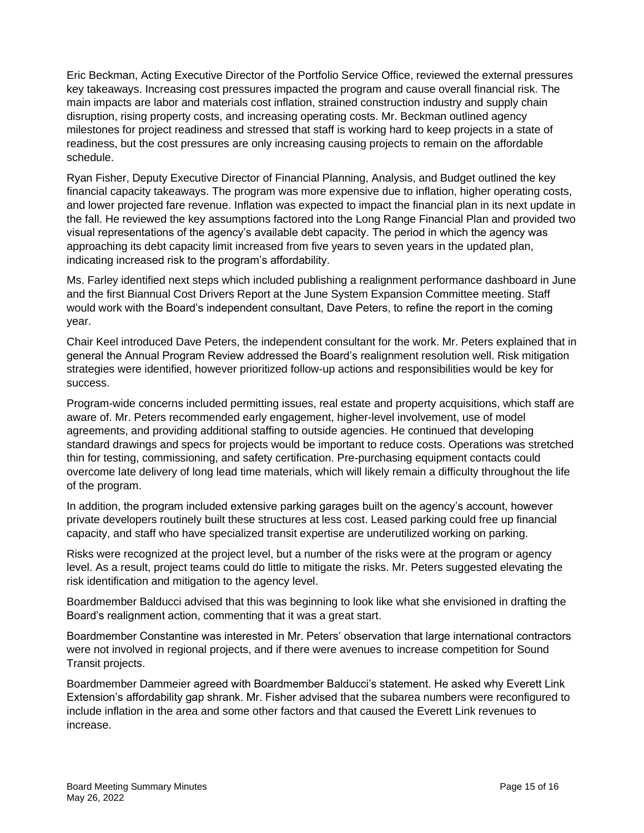Eric Beckman, Acting Executive Director of the Portfolio Service Office, reviewed the external pressures key takeaways. Increasing cost pressures impacted the program and cause overall financial risk. The main impacts are labor and materials cost inflation, strained construction industry and supply chain disruption, rising property costs, and increasing operating costs. Mr. Beckman outlined agency milestones for project readiness and stressed that staff is working hard to keep projects in a state of readiness, but the cost pressures are only increasing causing projects to remain on the affordable schedule.

Ryan Fisher, Deputy Executive Director of Financial Planning, Analysis, and Budget outlined the key financial capacity takeaways. The program was more expensive due to inflation, higher operating costs, and lower projected fare revenue. Inflation was expected to impact the financial plan in its next update in the fall. He reviewed the key assumptions factored into the Long Range Financial Plan and provided two visual representations of the agency's available debt capacity. The period in which the agency was approaching its debt capacity limit increased from five years to seven years in the updated plan, indicating increased risk to the program's affordability.

Ms. Farley identified next steps which included publishing a realignment performance dashboard in June and the first Biannual Cost Drivers Report at the June System Expansion Committee meeting. Staff would work with the Board's independent consultant, Dave Peters, to refine the report in the coming year.

Chair Keel introduced Dave Peters, the independent consultant for the work. Mr. Peters explained that in general the Annual Program Review addressed the Board's realignment resolution well. Risk mitigation strategies were identified, however prioritized follow-up actions and responsibilities would be key for success.

Program-wide concerns included permitting issues, real estate and property acquisitions, which staff are aware of. Mr. Peters recommended early engagement, higher-level involvement, use of model agreements, and providing additional staffing to outside agencies. He continued that developing standard drawings and specs for projects would be important to reduce costs. Operations was stretched thin for testing, commissioning, and safety certification. Pre-purchasing equipment contacts could overcome late delivery of long lead time materials, which will likely remain a difficulty throughout the life of the program.

In addition, the program included extensive parking garages built on the agency's account, however private developers routinely built these structures at less cost. Leased parking could free up financial capacity, and staff who have specialized transit expertise are underutilized working on parking.

Risks were recognized at the project level, but a number of the risks were at the program or agency level. As a result, project teams could do little to mitigate the risks. Mr. Peters suggested elevating the risk identification and mitigation to the agency level.

Boardmember Balducci advised that this was beginning to look like what she envisioned in drafting the Board's realignment action, commenting that it was a great start.

Boardmember Constantine was interested in Mr. Peters' observation that large international contractors were not involved in regional projects, and if there were avenues to increase competition for Sound Transit projects.

Boardmember Dammeier agreed with Boardmember Balducci's statement. He asked why Everett Link Extension's affordability gap shrank. Mr. Fisher advised that the subarea numbers were reconfigured to include inflation in the area and some other factors and that caused the Everett Link revenues to increase.